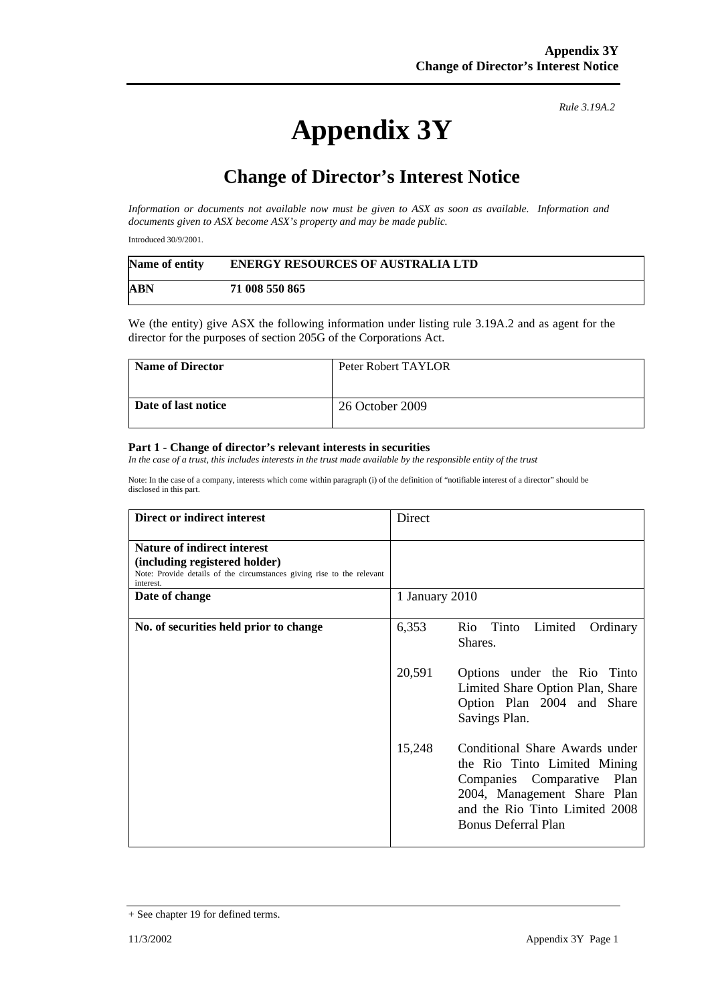## **Appendix 3Y**

*Rule 3.19A.2*

## **Change of Director's Interest Notice**

*Information or documents not available now must be given to ASX as soon as available. Information and documents given to ASX become ASX's property and may be made public.* 

Introduced 30/9/2001.

| Name of entity | <b>ENERGY RESOURCES OF AUSTRALIA LTD</b> |
|----------------|------------------------------------------|
| ABN            | 71 008 550 865                           |

We (the entity) give ASX the following information under listing rule 3.19A.2 and as agent for the director for the purposes of section 205G of the Corporations Act.

| <b>Name of Director</b> | Peter Robert TAYLOR |
|-------------------------|---------------------|
| Date of last notice     | 26 October 2009     |

## **Part 1 - Change of director's relevant interests in securities**

*In the case of a trust, this includes interests in the trust made available by the responsible entity of the trust* 

Note: In the case of a company, interests which come within paragraph (i) of the definition of "notifiable interest of a director" should be disclosed in this part.

| Direct or indirect interest                                                                                                                                | Direct         |                                                                                                                                                                                                |
|------------------------------------------------------------------------------------------------------------------------------------------------------------|----------------|------------------------------------------------------------------------------------------------------------------------------------------------------------------------------------------------|
| <b>Nature of indirect interest</b><br>(including registered holder)<br>Note: Provide details of the circumstances giving rise to the relevant<br>interest. |                |                                                                                                                                                                                                |
| Date of change                                                                                                                                             | 1 January 2010 |                                                                                                                                                                                                |
| No. of securities held prior to change                                                                                                                     | 6,353          | Rio Tinto<br>Limited<br>Ordinary<br>Shares.                                                                                                                                                    |
|                                                                                                                                                            | 20,591         | Options under the Rio Tinto<br>Limited Share Option Plan, Share<br>Option Plan 2004 and Share<br>Savings Plan.                                                                                 |
|                                                                                                                                                            | 15,248         | Conditional Share Awards under<br>the Rio Tinto Limited Mining<br>Companies Comparative<br>Plan<br>2004, Management Share Plan<br>and the Rio Tinto Limited 2008<br><b>Bonus Deferral Plan</b> |

<sup>+</sup> See chapter 19 for defined terms.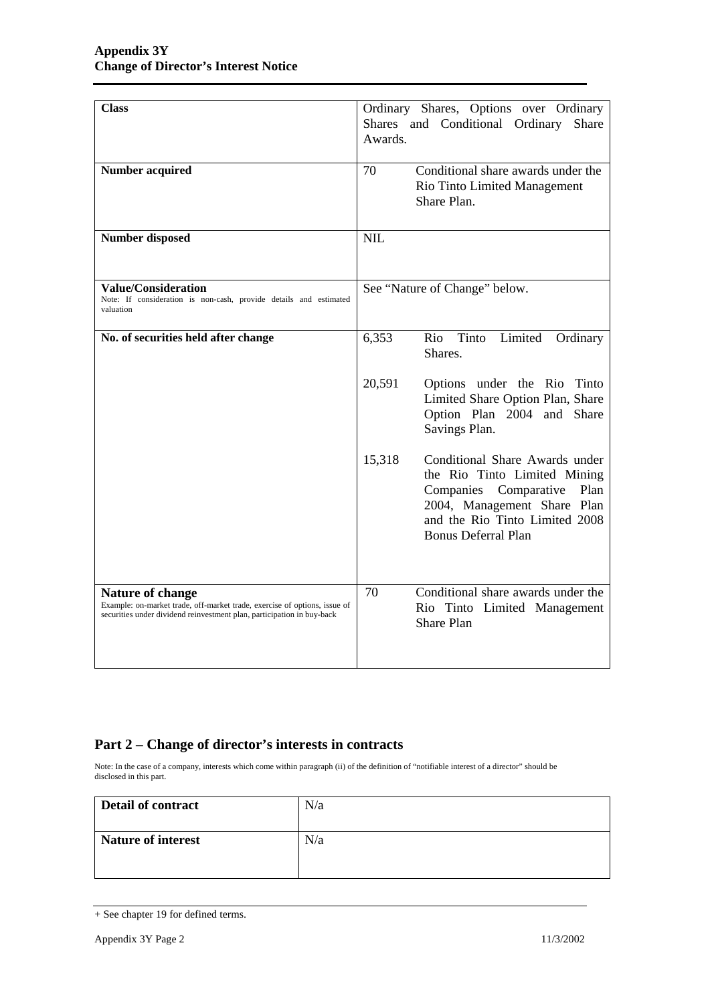| <b>Class</b>                                                                                                                                                                   | Ordinary Shares, Options over Ordinary<br>Shares and Conditional Ordinary<br>Share<br>Awards.                                                                                                            |
|--------------------------------------------------------------------------------------------------------------------------------------------------------------------------------|----------------------------------------------------------------------------------------------------------------------------------------------------------------------------------------------------------|
| <b>Number acquired</b>                                                                                                                                                         | Conditional share awards under the<br>70<br>Rio Tinto Limited Management<br>Share Plan.                                                                                                                  |
| <b>Number disposed</b>                                                                                                                                                         | <b>NIL</b>                                                                                                                                                                                               |
| <b>Value/Consideration</b><br>Note: If consideration is non-cash, provide details and estimated<br>valuation                                                                   | See "Nature of Change" below.                                                                                                                                                                            |
| No. of securities held after change                                                                                                                                            | Tinto<br>Limited<br>6,353<br>Rio<br>Ordinary<br>Shares.                                                                                                                                                  |
|                                                                                                                                                                                | 20,591<br>Options under the Rio Tinto<br>Limited Share Option Plan, Share<br>Option Plan 2004 and Share<br>Savings Plan.                                                                                 |
|                                                                                                                                                                                | Conditional Share Awards under<br>15,318<br>the Rio Tinto Limited Mining<br>Plan<br>Companies Comparative<br>2004, Management Share Plan<br>and the Rio Tinto Limited 2008<br><b>Bonus Deferral Plan</b> |
| <b>Nature of change</b><br>Example: on-market trade, off-market trade, exercise of options, issue of<br>securities under dividend reinvestment plan, participation in buy-back | Conditional share awards under the<br>70<br>Rio Tinto Limited Management<br><b>Share Plan</b>                                                                                                            |

## **Part 2 – Change of director's interests in contracts**

Note: In the case of a company, interests which come within paragraph (ii) of the definition of "notifiable interest of a director" should be disclosed in this part.

| Detail of contract        | N/a |
|---------------------------|-----|
| <b>Nature of interest</b> | N/a |

<sup>+</sup> See chapter 19 for defined terms.